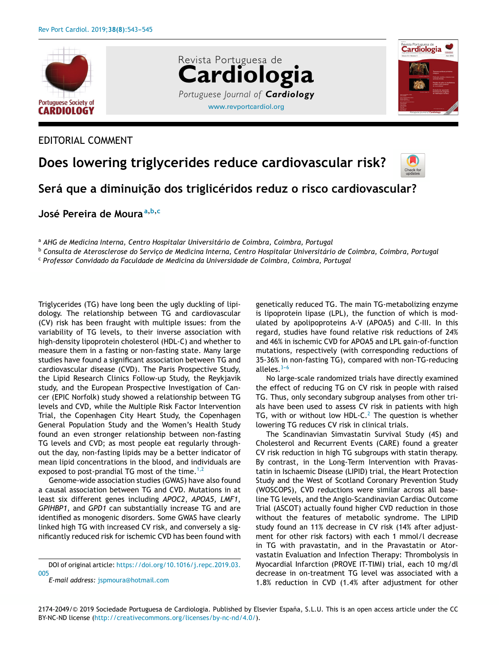







## **Does lowering triglycerides reduce cardiovascular risk?**



## **Será que a diminuic¸ão dos triglicéridos reduz o risco cardiovasc[ular?](http://crossmark.crossref.org/dialog/?doi=10.1016/j.repce.2019.11.005&domain=pdf)**

**José Pereira de Moura<sup>a</sup>**,**b**,**<sup>c</sup>**

<sup>a</sup> *AHG de Medicina Interna, Centro Hospitalar Universitário de Coimbra, Coimbra, Portugal*

<sup>b</sup> Consulta de Aterosclerose do Serviço de Medicina Interna, Centro Hospitalar Universitário de Coimbra, Coimbra, Portugal

<sup>c</sup> *Professor Convidado da Faculdade de Medicina da Universidade de Coimbra, Coimbra, Portugal*

Triglycerides (TG) have long been the ugly duckling of lipidology. The relationship between TG and cardiovascular (CV) risk has been fraught with multiple issues: from the variability of TG levels, to their inverse association with high-density lipoprotein cholesterol (HDL-C) and whether to measure them in a fasting or non-fasting state. Many large studies have found a significant association between TG and cardiovascular disease (CVD). The Paris Prospective Study, the Lipid Research Clinics Follow-up Study, the Reykjavik study, and the European Prospective Investigation of Cancer (EPIC Norfolk) study showed a relationship between TG levels and CVD, while the Multiple Risk Factor Intervention Trial, the Copenhagen City Heart Study, the Copenhagen General Population Study and the Women's Health Study found an even stronger relationship between non-fasting TG levels and CVD; as most people eat regularly throughout the day, non-fasting lipids may be a better indicator of mean lipid concentrations in the blood, and individuals are exposed to post-prandial TG most of the time.<sup>1,2</sup>

Genome-wide association studies (GWAS) have also found a causal association between TG and CVD. Mutations in at least six different genes including *APOC2*, *APOA5*, *LMF1*, *GPIHBP1*, and *GPD1* can substantially increase TG and are identified as monogenic disorders. Some GWAS have clearly linked high TG with increased CV risk, and conversely a significantly reduced risk for ischemic CVD has been found with

DOI of original article: https://doi.org/10.1016/j.repc.2019.03. 005

*E-mail address:* jspmoura@hotmail.com

genetically reduced TG. The main TG-metabolizing enzyme is lipoprotein lipase (LPL), the function of which is modulated by apolipoproteins A-V (APOA5) and C-III. In this regard, studies have found relative risk reductions of 24% and 46% in ischemic CVD for APOA5 and LPL gain-of-function mutations, respectively (with corresponding reductions of 35-36% in non-fasting TG), compared with non-TG-reducing alleles. $3-6$ 

No large-scale randomized trials have directly examined the effect of reducing TG on CV risk in people with raised TG. Thus, only secondary subgroup analyses from other trials have been used to assess CV risk in patients with high TG, with or without low HDL-C. $<sup>2</sup>$  The question is whether</sup> lowering TG reduces CV risk in clinical trials.

The Scandinavian Simvastatin Survival Study (4S) and Cholesterol and Recurrent Events (CARE) found a greater CV risk reduction in high TG subgroups with statin therapy. By contrast, in the Long-Term Intervention with Pravastatin in Ischaemic Disease (LIPID) trial, the Heart Protection Study and the West of Scotland Coronary Prevention Study (WOSCOPS), CVD reductions were similar across all baseline TG levels, and the Anglo-Scandinavian Cardiac Outcome Trial (ASCOT) actually found higher CVD reduction in those without the features of metabolic syndrome. The LIPID study found an 11% decrease in CV risk (14% after adjustment for other risk factors) with each 1 mmol/l decrease in TG with pravastatin, and in the Pravastatin or Atorvastatin Evaluation and Infection Therapy: Thrombolysis in Myocardial Infarction (PROVE IT-TIMI) trial, each 10 mg/dl decrease in on-treatment TG level was associated with a 1.8% reduction in CVD (1.4% after adjustment for other

2174-2049/© 2019 Sociedade Portuguesa de Cardiologia. Published by Elsevier España, S.L.U. This is an open access article under the CC BY-NC-ND license (http://creativecommons.org/licenses/by-nc-nd/4.0/).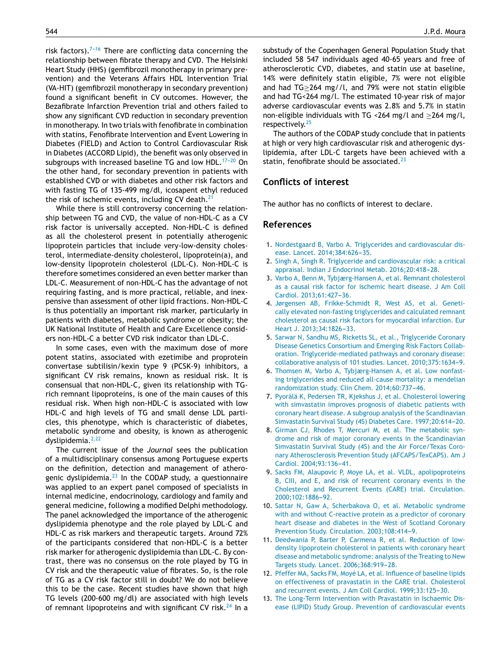risk factors).<sup>7-16</sup> There are conflicting data concerning the relationship between fibrate therapy and CVD. The Helsinki Heart Study (HHS) (gemfibrozil monotherapy in primary prevention) and the Veterans Affairs HDL Intervention Trial (VA-HIT) (gemfibrozil monotherapy in secondary prevention) found a significant benefit in CV outcomes. However, the Bezafibrate Infarction Prevention trial and others failed to show any significant CVD reduction in secondary prevention in monotherapy. In two trials with fenofibrate in combination with statins, Fenofibrate Intervention and Event Lowering in Diabetes (FIELD) and Action to Control Cardiovascular Risk in Diabetes (ACCORD Lipid), the benefit was only observed in subgroups with increased baseline TG and low HDL.<sup>17-20</sup> On the other hand, for secondary prevention in patients with established CVD or with diabetes and other risk factors and with fasting TG of 135-499 mg/dl, icosapent ethyl reduced the risk of ischemic events, including CV death. $^{21}$ 

While there is still controversy concerning the relationship between TG and CVD, the value of non-HDL-C as a CV risk factor is universally accepted. Non-HDL-C is defined as all the cholesterol present in potentially atherogenic lipoprotein particles that include very-low-density cholesterol, intermediate-density cholesterol, lipoprotein(a), and low-density lipoprotein cholesterol (LDL-C). Non-HDL-C is therefore sometimes considered an even better marker than LDL-C. Measurement of non-HDL-C has the advantage of not requiring fasting, and is more practical, reliable, and inexpensive than assessment of other lipid fractions. Non-HDL-C is thus potentially an important risk marker, particularly in patients with diabetes, metabolic syndrome or obesity; the UK National Institute of Health and Care Excellence considers non-HDL-C a better CVD risk indicator than LDL-C.

In some cases, even with the maximum dose of more potent statins, associated with ezetimibe and proprotein convertase subtilisin/kexin type 9 (PCSK-9) inhibitors, a significant CV risk remains, known as residual risk. It is consensual that non-HDL-C, given its relationship with TGrich remnant lipoproteins, is one of the main causes of this residual risk. When high non-HDL-C is associated with low HDL-C and high levels of TG and small dense LDL particles, this phenotype, which is characteristic of diabetes, metabolic syndrome and obesity, is known as atherogenic dyslipidemia.<sup>2,22</sup>

The current issue of the *Journal* sees the publication of a multidisciplinary consensus among Portuguese experts on the definition, detection and management of atherogenic dyslipidemia. $^{23}$  In the CODAP study, a questionnaire was applied to an expert panel composed of specialists in internal medicine, endocrinology, cardiology and family and general medicine, following a modified Delphi methodology. The panel acknowledged the importance of the atherogenic dyslipidemia phenotype and the role played by LDL-C and HDL-C as risk markers and therapeutic targets. Around 72% of the participants considered that non-HDL-C is a better risk marker for atherogenic dyslipidemia than LDL-C. By contrast, there was no consensus on the role played by TG in CV risk and the therapeutic value of fibrates. So, is the role of TG as a CV risk factor still in doubt? We do not believe this to be the case. Recent studies have shown that high TG levels (200-600 mg/dl) are associated with high levels of remnant lipoproteins and with significant CV risk.<sup>24</sup> In a

substudy of the Copenhagen General Population Study that included 58 547 individuals aged 40-65 years and free of atherosclerotic CVD, diabetes, and statin use at baseline, 14% were definitely statin eligible, 7% were not eligible and had TG≥264 mg//l, and 79% were not statin eligible and had TG<264 mg/l. The estimated 10-year risk of major adverse cardiovascular events was 2.8% and 5.7% in statin non-eligible individuals with TG <264 mg/l and ≥264 mg/l, respectively.<sup>25</sup>

The authors of the CODAP study conclude that in patients at high or very high cardiovascular risk and atherogenic dyslipidemia, after LDL-C targets have been achieved with a statin, fenofibrate should be associated. $^{23}$ 

## **Conflicts of interest**

The author has no conflicts of interest to declare.

## **References**

- 1. Nordestgaard B, Varbo A. Triglycerides and cardiovascular disease. Lancet. 2014;384:626-35.
- 2. Singh A, Singh R. Triglyceride and cardiovascular risk: a critical appraisal. Indian J Endocrinol Metab. 2016;20:418-28.
- 3. Varbo A, Benn M, Tybjærg-Hansen A, et al. Remnant cholesterol as a causal risk factor for ischemic heart disease. J Am Coll Cardiol. 2013;61:427-36.
- 4. Jørgensen AB, Frikke-Schmidt R, West AS, et al. Genetically elevated non-fasting triglycerides and calculated remnant cholesterol as causal risk factors for myocardial infarction. Eur Heart J. 2013;34:1826-33.
- 5. Sarwar N, Sandhu MS, Ricketts SL, et al., Triglyceride Coronary Disease Genetics Consortium and Emerging Risk Factors Collaboration. Triglyceride-mediated pathways and coronary disease: collaborative analysis of 101 studies. Lancet. 2010;375:1634-9.
- 6. Thomsen M, Varbo A, Tybjærg-Hansen A, et al. Low nonfasting triglycerides and reduced all-cause mortality: a mendelian randomization study. Clin Chem. 2014:60:737-46.
- 7. Pyorälä K, Pedersen TR, Kjekshus J, et al. Cholesterol lowering with simvastatin improves prognosis of diabetic patients with coronary heart disease. A subgroup analysis of the Scandinavian Simvastatin Survival Study (4S) Diabetes Care. 1997;20:614-20.
- 8. Girman CJ, Rhodes T, Mercuri M, et al. The metabolic syndrome and risk of major coronary events in the Scandinavian Simvastatin Survival Study (4S) and the Air Force/Texas Coronary Atherosclerosis Prevention Study (AFCAPS/TexCAPS). Am J Cardiol. 2004;93:136-41.
- 9. Sacks FM, Alaupovic P, Moye LA, et al. VLDL, apolipoproteins B, CIII, and E, and risk of recurrent coronary events in the Cholesterol and Recurrent Events (CARE) trial. Circulation. 2000:102:1886-92.
- 10. Sattar N, Gaw A, Scherbakova O, et al. Metabolic syndrome with and without C-reactive protein as a predictor of coronary heart disease and diabetes in the West of Scotland Coronary Prevention Study. Circulation. 2003:108:414-9.
- 11. Deedwania P, Barter P, Carmena R, et al. Reduction of lowdensity lipoprotein cholesterol in patients with coronary heart disease and metabolic syndrome: analysis of the Treating to New Targets study. Lancet. 2006;368:919-28.
- 12. Pfeffer MA, Sacks FM, Moyé LA, et al. Influence of baseline lipids on effectiveness of pravastatin in the CARE trial. Cholesterol and recurrent events. J Am Coll Cardiol. 1999;33:125-30.
- 13. The Long-Term Intervention with Pravastatin in Ischaemic Disease (LIPID) Study Group. Prevention of cardiovascular events